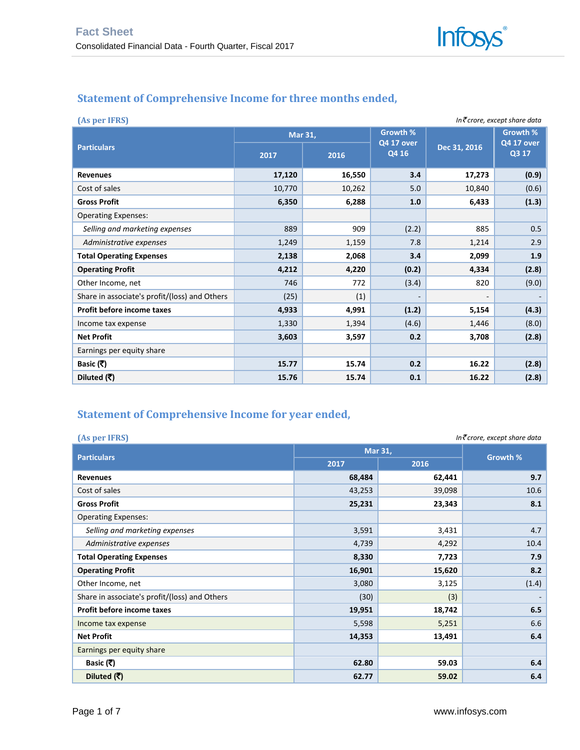# **Statement of Comprehensive Income for three months ended,**

| In₹crore, except share data<br>(As per IFRS)  |         |        |                            |              |                            |  |  |  |
|-----------------------------------------------|---------|--------|----------------------------|--------------|----------------------------|--|--|--|
|                                               | Mar 31, |        | <b>Growth %</b>            |              | Growth %                   |  |  |  |
| <b>Particulars</b>                            | 2017    | 2016   | <b>Q4 17 over</b><br>Q4 16 | Dec 31, 2016 | <b>Q4 17 over</b><br>Q3 17 |  |  |  |
| <b>Revenues</b>                               | 17,120  | 16,550 | 3.4                        | 17,273       | (0.9)                      |  |  |  |
| Cost of sales                                 | 10,770  | 10,262 | 5.0                        | 10,840       | (0.6)                      |  |  |  |
| <b>Gross Profit</b>                           | 6,350   | 6,288  | 1.0                        | 6,433        | (1.3)                      |  |  |  |
| <b>Operating Expenses:</b>                    |         |        |                            |              |                            |  |  |  |
| Selling and marketing expenses                | 889     | 909    | (2.2)                      | 885          | 0.5                        |  |  |  |
| Administrative expenses                       | 1,249   | 1,159  | 7.8                        | 1,214        | 2.9                        |  |  |  |
| <b>Total Operating Expenses</b>               | 2,138   | 2,068  | 3.4                        | 2,099        | 1.9                        |  |  |  |
| <b>Operating Profit</b>                       | 4,212   | 4,220  | (0.2)                      | 4,334        | (2.8)                      |  |  |  |
| Other Income, net                             | 746     | 772    | (3.4)                      | 820          | (9.0)                      |  |  |  |
| Share in associate's profit/(loss) and Others | (25)    | (1)    | $\overline{\phantom{a}}$   | -            |                            |  |  |  |
| Profit before income taxes                    | 4,933   | 4,991  | (1.2)                      | 5,154        | (4.3)                      |  |  |  |
| Income tax expense                            | 1,330   | 1,394  | (4.6)                      | 1,446        | (8.0)                      |  |  |  |
| <b>Net Profit</b>                             | 3,603   | 3,597  | 0.2                        | 3,708        | (2.8)                      |  |  |  |
| Earnings per equity share                     |         |        |                            |              |                            |  |  |  |
| Basic (₹)                                     | 15.77   | 15.74  | 0.2                        | 16.22        | (2.8)                      |  |  |  |
| Diluted (₹)                                   | 15.76   | 15.74  | 0.1                        | 16.22        | (2.8)                      |  |  |  |

# **Statement of Comprehensive Income for year ended,**

| (As per IFRS)<br>In₹crore, except share data  |         |        |          |  |  |
|-----------------------------------------------|---------|--------|----------|--|--|
|                                               | Mar 31, |        |          |  |  |
| <b>Particulars</b>                            | 2017    | 2016   | Growth % |  |  |
| <b>Revenues</b>                               | 68,484  | 62,441 | 9.7      |  |  |
| Cost of sales                                 | 43,253  | 39,098 | 10.6     |  |  |
| <b>Gross Profit</b>                           | 25,231  | 23,343 | 8.1      |  |  |
| <b>Operating Expenses:</b>                    |         |        |          |  |  |
| Selling and marketing expenses                | 3,591   | 3,431  | 4.7      |  |  |
| Administrative expenses                       | 4,739   | 4,292  | 10.4     |  |  |
| <b>Total Operating Expenses</b>               | 8,330   | 7,723  | 7.9      |  |  |
| <b>Operating Profit</b>                       | 16,901  | 15,620 | 8.2      |  |  |
| Other Income, net                             | 3,080   | 3,125  | (1.4)    |  |  |
| Share in associate's profit/(loss) and Others | (30)    | (3)    |          |  |  |
| Profit before income taxes                    | 19,951  | 18,742 | 6.5      |  |  |
| Income tax expense                            | 5,598   | 5,251  | 6.6      |  |  |
| <b>Net Profit</b>                             | 14,353  | 13,491 | 6.4      |  |  |
| Earnings per equity share                     |         |        |          |  |  |
| Basic (₹)                                     | 62.80   | 59.03  | 6.4      |  |  |
| Diluted (₹)                                   | 62.77   | 59.02  | 6.4      |  |  |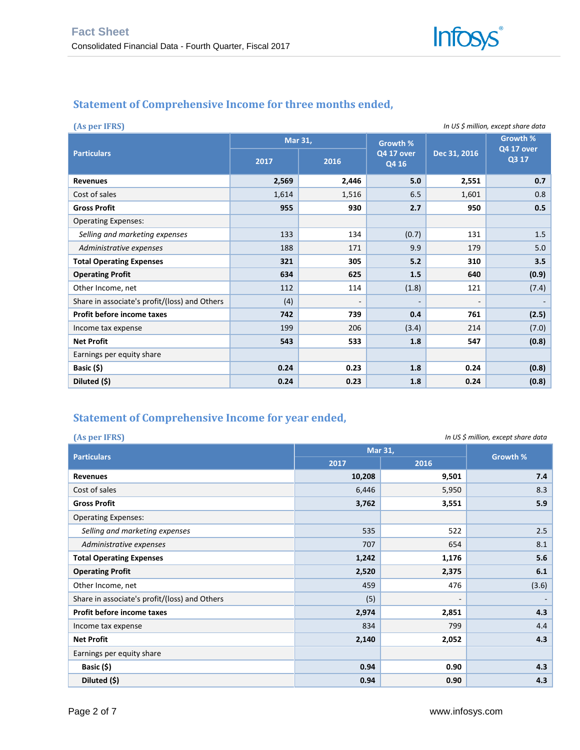#### **Statement of Comprehensive Income for three months ended,**

| In US \$ million, except share data<br>(As per IFRS) |       |                          |       |                          |                                 |  |  |
|------------------------------------------------------|-------|--------------------------|-------|--------------------------|---------------------------------|--|--|
| <b>Particulars</b>                                   | 2017  | Mar 31,                  |       | Dec 31, 2016             | Growth %<br>Q4 17 over<br>Q3 17 |  |  |
|                                                      |       | 2016                     | Q4 16 |                          |                                 |  |  |
| <b>Revenues</b>                                      | 2,569 | 2,446                    | 5.0   | 2,551                    | 0.7                             |  |  |
| Cost of sales                                        | 1,614 | 1,516                    | 6.5   | 1,601                    | 0.8                             |  |  |
| <b>Gross Profit</b>                                  | 955   | 930                      | 2.7   | 950                      | 0.5                             |  |  |
| <b>Operating Expenses:</b>                           |       |                          |       |                          |                                 |  |  |
| Selling and marketing expenses                       | 133   | 134                      | (0.7) | 131                      | 1.5                             |  |  |
| Administrative expenses                              | 188   | 171                      | 9.9   | 179                      | 5.0                             |  |  |
| <b>Total Operating Expenses</b>                      | 321   | 305                      | 5.2   | 310                      | 3.5                             |  |  |
| <b>Operating Profit</b>                              | 634   | 625                      | 1.5   | 640                      | (0.9)                           |  |  |
| Other Income, net                                    | 112   | 114                      | (1.8) | 121                      | (7.4)                           |  |  |
| Share in associate's profit/(loss) and Others        | (4)   | $\overline{\phantom{a}}$ | ٠     | $\overline{\phantom{0}}$ |                                 |  |  |
| Profit before income taxes                           | 742   | 739                      | 0.4   | 761                      | (2.5)                           |  |  |
| Income tax expense                                   | 199   | 206                      | (3.4) | 214                      | (7.0)                           |  |  |
| <b>Net Profit</b>                                    | 543   | 533                      | 1.8   | 547                      | (0.8)                           |  |  |
| Earnings per equity share                            |       |                          |       |                          |                                 |  |  |
| Basic (\$)                                           | 0.24  | 0.23                     | 1.8   | 0.24                     | (0.8)                           |  |  |
| Diluted (\$)                                         | 0.24  | 0.23                     | 1.8   | 0.24                     | (0.8)                           |  |  |

## **Statement of Comprehensive Income for year ended,**

| (As per IFRS)<br>In US \$ million, except share data |         |                          |          |  |
|------------------------------------------------------|---------|--------------------------|----------|--|
|                                                      | Mar 31, |                          |          |  |
| <b>Particulars</b>                                   | 2017    | 2016                     | Growth % |  |
| <b>Revenues</b>                                      | 10,208  | 9,501                    | 7.4      |  |
| Cost of sales                                        | 6,446   | 5,950                    | 8.3      |  |
| <b>Gross Profit</b>                                  | 3,762   | 3,551                    | 5.9      |  |
| <b>Operating Expenses:</b>                           |         |                          |          |  |
| Selling and marketing expenses                       | 535     | 522                      | 2.5      |  |
| Administrative expenses                              | 707     | 654                      | 8.1      |  |
| <b>Total Operating Expenses</b>                      | 1,242   | 1,176                    | 5.6      |  |
| <b>Operating Profit</b>                              | 2,520   | 2,375                    | 6.1      |  |
| Other Income, net                                    | 459     | 476                      | (3.6)    |  |
| Share in associate's profit/(loss) and Others        | (5)     | $\overline{\phantom{0}}$ |          |  |
| Profit before income taxes                           | 2,974   | 2,851                    | 4.3      |  |
| Income tax expense                                   | 834     | 799                      | 4.4      |  |
| <b>Net Profit</b>                                    | 2,140   | 2,052                    | 4.3      |  |
| Earnings per equity share                            |         |                          |          |  |
| Basic (\$)                                           | 0.94    | 0.90                     | 4.3      |  |
| Diluted (\$)                                         | 0.94    | 0.90                     | 4.3      |  |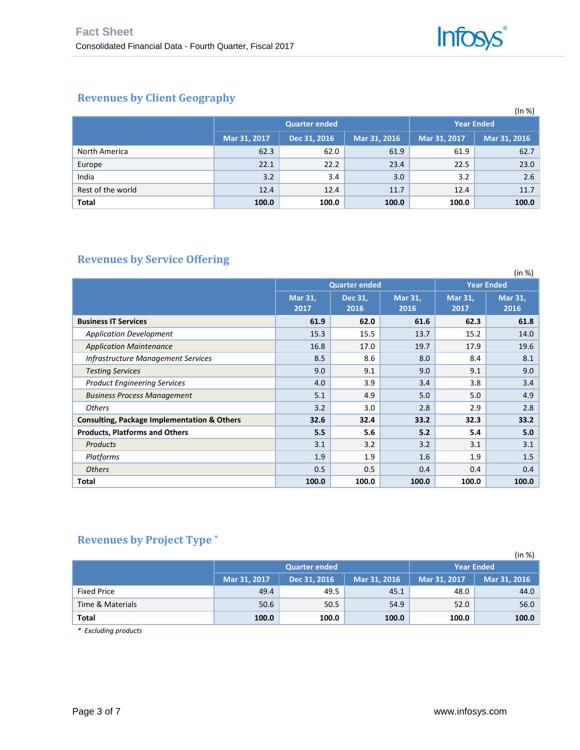## **Revenues by Client Geography**

|                   |              |                      |                   |              | (ln %)       |
|-------------------|--------------|----------------------|-------------------|--------------|--------------|
|                   |              | <b>Quarter ended</b> | <b>Year Ended</b> |              |              |
|                   | Mar 31, 2017 | Dec 31, 2016         | Mar 31, 2016      | Mar 31, 2017 | Mar 31, 2016 |
| North America     | 62.3         | 62.0                 | 61.9              | 61.9         | 62.7         |
| Europe            | 22.1         | 22.2                 | 23.4              | 22.5         | 23.0         |
| India             | 3.2          | 3.4                  | 3.0               | 3.2          | 2.6          |
| Rest of the world | 12.4         | 12.4                 | 11.7              | 12.4         | 11.7         |
| <b>Total</b>      | 100.0        | 100.0                | 100.0             | 100.0        | 100.0        |

# **Revenues by Service Offering**

|                                                        |                        |                      |                 |                   | (in %)          |  |
|--------------------------------------------------------|------------------------|----------------------|-----------------|-------------------|-----------------|--|
|                                                        |                        | <b>Quarter ended</b> |                 | <b>Year Ended</b> |                 |  |
|                                                        | <b>Mar 31,</b><br>2017 | Dec 31,<br>2016      | Mar 31,<br>2016 | Mar 31,<br>2017   | Mar 31,<br>2016 |  |
| <b>Business IT Services</b>                            | 61.9                   | 62.0                 | 61.6            | 62.3              | 61.8            |  |
| <b>Application Development</b>                         | 15.3                   | 15.5                 | 13.7            | 15.2              | 14.0            |  |
| <b>Application Maintenance</b>                         | 16.8                   | 17.0                 | 19.7            | 17.9              | 19.6            |  |
| <b>Infrastructure Management Services</b>              | 8.5                    | 8.6                  | 8.0             | 8.4               | 8.1             |  |
| <b>Testing Services</b>                                | 9.0                    | 9.1                  | 9.0             | 9.1               | 9.0             |  |
| <b>Product Engineering Services</b>                    | 4.0                    | 3.9                  | 3.4             | 3.8               | 3.4             |  |
| <b>Business Process Management</b>                     | 5.1                    | 4.9                  | 5.0             | 5.0               | 4.9             |  |
| <b>Others</b>                                          | 3.2                    | 3.0                  | 2.8             | 2.9               | 2.8             |  |
| <b>Consulting, Package Implementation &amp; Others</b> | 32.6                   | 32.4                 | 33.2            | 32.3              | 33.2            |  |
| <b>Products, Platforms and Others</b>                  | 5.5                    | 5.6                  | 5.2             | 5.4               | 5.0             |  |
| <b>Products</b>                                        | 3.1                    | 3.2                  | 3.2             | 3.1               | 3.1             |  |
| Platforms                                              | 1.9                    | 1.9                  | 1.6             | 1.9               | 1.5             |  |
| <b>Others</b>                                          | 0.5                    | 0.5                  | 0.4             | 0.4               | 0.4             |  |
| Total                                                  | 100.0                  | 100.0                | 100.0           | 100.0             | 100.0           |  |

## **Revenues by Project Type \***

|                    |              |                      |                   |              | (in %)       |
|--------------------|--------------|----------------------|-------------------|--------------|--------------|
|                    |              | <b>Quarter ended</b> | <b>Year Ended</b> |              |              |
|                    | Mar 31, 2017 | Dec 31, 2016         | Mar 31, 2016      | Mar 31, 2017 | Mar 31, 2016 |
| <b>Fixed Price</b> | 49.4         | 49.5                 | 45.1              | 48.0         | 44.0         |
| Time & Materials   | 50.6         | 50.5                 | 54.9              | 52.0         | 56.0         |
| Total              | 100.0        | 100.0                | 100.0             | 100.0        | 100.0        |

*\* Excluding products*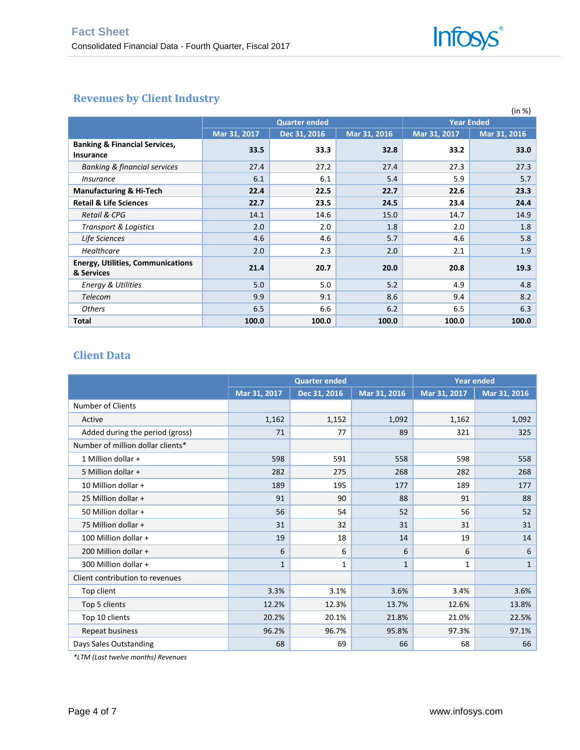

## **Revenues by Client Industry**

|                                                              |              |                      |              |                   | (in %)       |  |
|--------------------------------------------------------------|--------------|----------------------|--------------|-------------------|--------------|--|
|                                                              |              | <b>Quarter ended</b> |              | <b>Year Ended</b> |              |  |
|                                                              | Mar 31, 2017 | Dec 31, 2016         | Mar 31, 2016 | Mar 31, 2017      | Mar 31, 2016 |  |
| <b>Banking &amp; Financial Services,</b><br><b>Insurance</b> | 33.5         | 33.3                 | 32.8         | 33.2              | 33.0         |  |
| <b>Banking &amp; financial services</b>                      | 27.4         | 27.2                 | 27.4         | 27.3              | 27.3         |  |
| <i>Insurance</i>                                             | 6.1          | 6.1                  | 5.4          | 5.9               | 5.7          |  |
| <b>Manufacturing &amp; Hi-Tech</b>                           | 22.4         | 22.5                 | 22.7         | 22.6              | 23.3         |  |
| <b>Retail &amp; Life Sciences</b>                            | 22.7         | 23.5                 | 24.5         | 23.4              | 24.4         |  |
| <b>Retail &amp; CPG</b>                                      | 14.1         | 14.6                 | 15.0         | 14.7              | 14.9         |  |
| <b>Transport &amp; Logistics</b>                             | 2.0          | 2.0                  | 1.8          | 2.0               | 1.8          |  |
| Life Sciences                                                | 4.6          | 4.6                  | 5.7          | 4.6               | 5.8          |  |
| Healthcare                                                   | 2.0          | 2.3                  | 2.0          | 2.1               | 1.9          |  |
| <b>Energy, Utilities, Communications</b><br>& Services       | 21.4         | 20.7                 | 20.0         | 20.8              | 19.3         |  |
| <b>Energy &amp; Utilities</b>                                | 5.0          | 5.0                  | 5.2          | 4.9               | 4.8          |  |
| Telecom                                                      | 9.9          | 9.1                  | 8.6          | 9.4               | 8.2          |  |
| <b>Others</b>                                                | 6.5          | 6.6                  | 6.2          | 6.5               | 6.3          |  |
| Total                                                        | 100.0        | 100.0                | 100.0        | 100.0             | 100.0        |  |

#### **Client Data**

|                                   |              | <b>Quarter ended</b> |              | <b>Year ended</b> |              |  |
|-----------------------------------|--------------|----------------------|--------------|-------------------|--------------|--|
|                                   | Mar 31, 2017 | Dec 31, 2016         | Mar 31, 2016 | Mar 31, 2017      | Mar 31, 2016 |  |
| <b>Number of Clients</b>          |              |                      |              |                   |              |  |
| Active                            | 1,162        | 1,152                | 1,092        | 1,162             | 1,092        |  |
| Added during the period (gross)   | 71           | 77                   | 89           | 321               | 325          |  |
| Number of million dollar clients* |              |                      |              |                   |              |  |
| 1 Million dollar +                | 598          | 591                  | 558          | 598               | 558          |  |
| 5 Million dollar +                | 282          | 275                  | 268          | 282               | 268          |  |
| 10 Million dollar +               | 189          | 195                  | 177          | 189               | 177          |  |
| 25 Million dollar +               | 91           | 90                   | 88           | 91                | 88           |  |
| 50 Million dollar +               | 56           | 54                   | 52           | 56                | 52           |  |
| 75 Million dollar +               | 31           | 32                   | 31           | 31                | 31           |  |
| 100 Million dollar +              | 19           | 18                   | 14           | 19                | 14           |  |
| 200 Million dollar +              | 6            | 6                    | 6            | 6                 | 6            |  |
| 300 Million dollar +              | 1            | 1                    | 1            | 1                 | $\mathbf{1}$ |  |
| Client contribution to revenues   |              |                      |              |                   |              |  |
| Top client                        | 3.3%         | 3.1%                 | 3.6%         | 3.4%              | 3.6%         |  |
| Top 5 clients                     | 12.2%        | 12.3%                | 13.7%        | 12.6%             | 13.8%        |  |
| Top 10 clients                    | 20.2%        | 20.1%                | 21.8%        | 21.0%             | 22.5%        |  |
| Repeat business                   | 96.2%        | 96.7%                | 95.8%        | 97.3%             | 97.1%        |  |
| Days Sales Outstanding            | 68           | 69                   | 66           | 68                | 66           |  |

*\*LTM (Last twelve months) Revenues*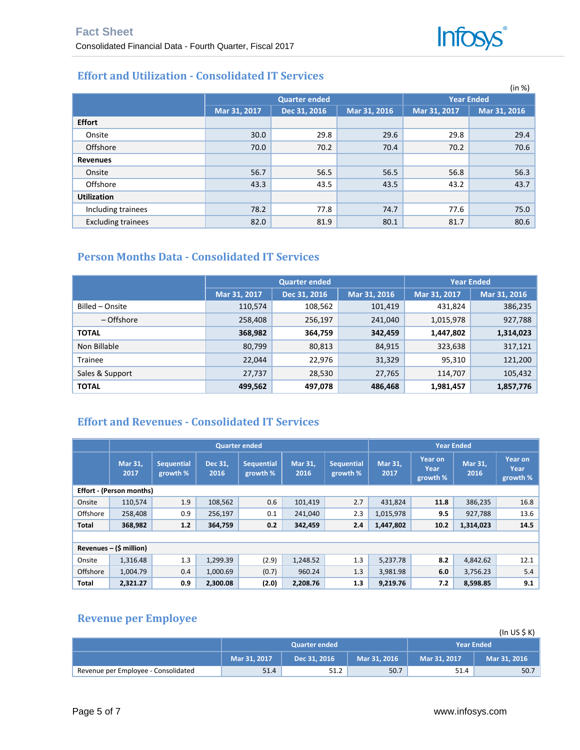

# **Effort and Utilization - Consolidated IT Services**

|                           |              |                      |              |              | (in %)            |  |  |
|---------------------------|--------------|----------------------|--------------|--------------|-------------------|--|--|
|                           |              | <b>Quarter ended</b> |              |              | <b>Year Ended</b> |  |  |
|                           | Mar 31, 2017 | Dec 31, 2016         | Mar 31, 2016 | Mar 31, 2017 | Mar 31, 2016      |  |  |
| <b>Effort</b>             |              |                      |              |              |                   |  |  |
| Onsite                    | 30.0         | 29.8                 | 29.6         | 29.8         | 29.4              |  |  |
| Offshore                  | 70.0         | 70.2                 | 70.4         | 70.2         | 70.6              |  |  |
| <b>Revenues</b>           |              |                      |              |              |                   |  |  |
| Onsite                    | 56.7         | 56.5                 | 56.5         | 56.8         | 56.3              |  |  |
| Offshore                  | 43.3         | 43.5                 | 43.5         | 43.2         | 43.7              |  |  |
| <b>Utilization</b>        |              |                      |              |              |                   |  |  |
| Including trainees        | 78.2         | 77.8                 | 74.7         | 77.6         | 75.0              |  |  |
| <b>Excluding trainees</b> | 82.0         | 81.9                 | 80.1         | 81.7         | 80.6              |  |  |

# **Person Months Data - Consolidated IT Services**

|                 |              | <b>Quarter ended</b> | <b>Year Ended</b> |              |              |
|-----------------|--------------|----------------------|-------------------|--------------|--------------|
|                 | Mar 31, 2017 | Dec 31, 2016         | Mar 31, 2016      | Mar 31, 2017 | Mar 31, 2016 |
| Billed - Onsite | 110,574      | 108,562              | 101,419           | 431,824      | 386,235      |
| - Offshore      | 258,408      | 256,197              | 241,040           | 1,015,978    | 927,788      |
| <b>TOTAL</b>    | 368,982      | 364,759              | 342,459           | 1,447,802    | 1,314,023    |
| Non Billable    | 80,799       | 80,813               | 84,915            | 323,638      | 317,121      |
| Trainee         | 22,044       | 22,976               | 31,329            | 95,310       | 121,200      |
| Sales & Support | 27,737       | 28,530               | 27,765            | 114,707      | 105,432      |
| <b>TOTAL</b>    | 499,562      | 497,078              | 486,468           | 1,981,457    | 1,857,776    |

#### **Effort and Revenues - Consolidated IT Services**

|              | <b>Quarter ended</b>            |                               |                 |                               |                 |                               |                 | <b>Year Ended</b>                  |                        |                             |
|--------------|---------------------------------|-------------------------------|-----------------|-------------------------------|-----------------|-------------------------------|-----------------|------------------------------------|------------------------|-----------------------------|
|              | Mar 31,<br>2017                 | <b>Sequential</b><br>growth % | Dec 31,<br>2016 | <b>Sequential</b><br>growth % | Mar 31.<br>2016 | <b>Sequential</b><br>growth % | Mar 31,<br>2017 | <b>Year on</b><br>Year<br>growth % | <b>Mar 31.</b><br>2016 | Year on<br>Year<br>growth % |
|              | <b>Effort - (Person months)</b> |                               |                 |                               |                 |                               |                 |                                    |                        |                             |
| Onsite       | 110,574                         | 1.9                           | 108,562         | 0.6                           | 101,419         | 2.7                           | 431,824         | 11.8                               | 386,235                | 16.8                        |
| Offshore     | 258,408                         | 0.9                           | 256,197         | 0.1                           | 241,040         | 2.3                           | 1,015,978       | 9.5                                | 927,788                | 13.6                        |
| Total        | 368,982                         | 1.2                           | 364,759         | 0.2                           | 342,459         | 2.4                           | 1,447,802       | 10.2                               | 1,314,023              | 14.5                        |
|              |                                 |                               |                 |                               |                 |                               |                 |                                    |                        |                             |
|              | Revenues $-$ (\$ million)       |                               |                 |                               |                 |                               |                 |                                    |                        |                             |
| Onsite       | 1,316.48                        | 1.3                           | 1,299.39        | (2.9)                         | 1,248.52        | 1.3                           | 5,237.78        | 8.2                                | 4,842.62               | 12.1                        |
| Offshore     | 1,004.79                        | 0.4                           | 1,000.69        | (0.7)                         | 960.24          | 1.3                           | 3,981.98        | 6.0                                | 3,756.23               | 5.4                         |
| <b>Total</b> | 2,321.27                        | 0.9                           | 2.300.08        | (2.0)                         | 2,208.76        | 1.3                           | 9,219.76        | 7.2                                | 8,598.85               | 9.1                         |

## **Revenue per Employee**

|                                     |                                              |                      |                   |              | (ln US \$K)  |
|-------------------------------------|----------------------------------------------|----------------------|-------------------|--------------|--------------|
|                                     |                                              | <b>Quarter ended</b> | <b>Year Ended</b> |              |              |
|                                     | Mar 31, 2017<br>Mar 31, 2016<br>Dec 31, 2016 |                      |                   | Mar 31, 2017 | Mar 31, 2016 |
| Revenue per Employee - Consolidated | 51.4                                         | 51.2                 | 50.7              | 51.4         | 50.7         |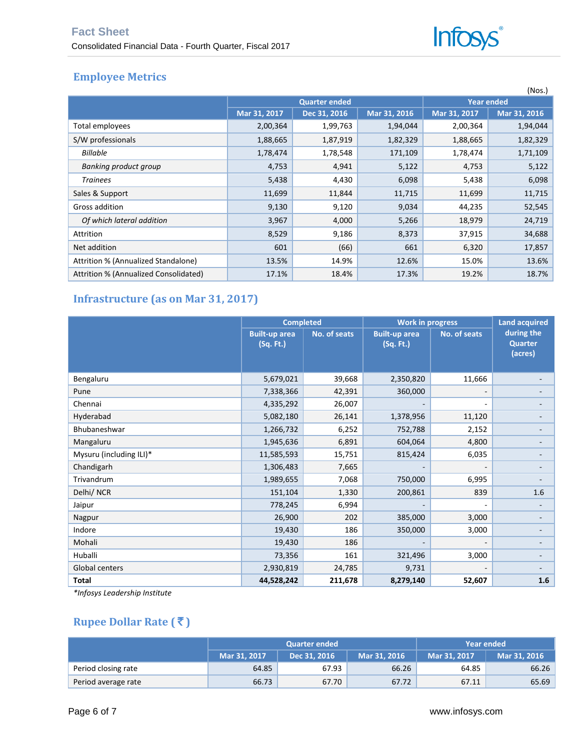

# **Employee Metrics**

|                                       |              |                      |                   |              | (Nos.)       |
|---------------------------------------|--------------|----------------------|-------------------|--------------|--------------|
|                                       |              | <b>Quarter ended</b> | <b>Year ended</b> |              |              |
|                                       | Mar 31, 2017 | Dec 31, 2016         | Mar 31, 2016      | Mar 31, 2017 | Mar 31, 2016 |
| Total employees                       | 2,00,364     | 1,99,763             | 1,94,044          | 2,00,364     | 1,94,044     |
| S/W professionals                     | 1,88,665     | 1,87,919             | 1,82,329          | 1,88,665     | 1,82,329     |
| <b>Billable</b>                       | 1,78,474     | 1,78,548             | 171,109           | 1,78,474     | 1,71,109     |
| Banking product group                 | 4,753        | 4,941                | 5,122             | 4,753        | 5,122        |
| <b>Trainees</b>                       | 5,438        | 4,430                | 6,098             | 5,438        | 6,098        |
| Sales & Support                       | 11,699       | 11,844               | 11,715            | 11,699       | 11,715       |
| Gross addition                        | 9,130        | 9,120                | 9,034             | 44,235       | 52,545       |
| Of which lateral addition             | 3,967        | 4,000                | 5,266             | 18,979       | 24,719       |
| Attrition                             | 8,529        | 9,186                | 8,373             | 37,915       | 34,688       |
| Net addition                          | 601          | (66)                 | 661               | 6,320        | 17,857       |
| Attrition % (Annualized Standalone)   | 13.5%        | 14.9%                | 12.6%             | 15.0%        | 13.6%        |
| Attrition % (Annualized Consolidated) | 17.1%        | 18.4%                | 17.3%             | 19.2%        | 18.7%        |

# **Infrastructure (as on Mar 31, 2017)**

|                         | <b>Completed</b>                  |              | <b>Work in progress</b>           | <b>Land acquired</b>     |                                         |
|-------------------------|-----------------------------------|--------------|-----------------------------------|--------------------------|-----------------------------------------|
|                         | <b>Built-up area</b><br>(Sq. Ft.) | No. of seats | <b>Built-up area</b><br>(Sq. Ft.) | No. of seats             | during the<br><b>Quarter</b><br>(acres) |
| Bengaluru               | 5,679,021                         | 39,668       | 2,350,820                         | 11,666                   |                                         |
| Pune                    | 7,338,366                         | 42,391       | 360,000                           | $\overline{\phantom{a}}$ |                                         |
| Chennai                 | 4,335,292                         | 26,007       |                                   | $\qquad \qquad -$        |                                         |
| Hyderabad               | 5,082,180                         | 26,141       | 1,378,956                         | 11,120                   |                                         |
| Bhubaneshwar            | 1,266,732                         | 6,252        | 752,788                           | 2,152                    |                                         |
| Mangaluru               | 1,945,636                         | 6,891        | 604,064                           | 4,800                    |                                         |
| Mysuru (including ILI)* | 11,585,593                        | 15,751       | 815,424                           | 6,035                    |                                         |
| Chandigarh              | 1,306,483                         | 7,665        |                                   | $\overline{\phantom{a}}$ |                                         |
| Trivandrum              | 1,989,655                         | 7,068        | 750,000                           | 6,995                    |                                         |
| Delhi/ NCR              | 151,104                           | 1,330        | 200,861                           | 839                      | 1.6                                     |
| Jaipur                  | 778,245                           | 6,994        |                                   | ٠                        |                                         |
| Nagpur                  | 26,900                            | 202          | 385,000                           | 3,000                    |                                         |
| Indore                  | 19,430                            | 186          | 350,000                           | 3,000                    |                                         |
| Mohali                  | 19,430                            | 186          |                                   |                          |                                         |
| Huballi                 | 73,356                            | 161          | 321,496                           | 3,000                    |                                         |
| Global centers          | 2,930,819                         | 24,785       | 9,731                             | -                        |                                         |
| Total                   | 44,528,242                        | 211,678      | 8,279,140                         | 52,607                   | 1.6                                     |

*\*Infosys Leadership Institute*

# **Rupee Dollar Rate (₹)**

|                     |              | <b>Quarter ended</b> | Year ended   |              |       |
|---------------------|--------------|----------------------|--------------|--------------|-------|
|                     | Mar 31, 2017 | Dec 31, 2016         | Mar 31, 2017 | Mar 31, 2016 |       |
| Period closing rate | 64.85        | 67.93                | 66.26        | 64.85        | 66.26 |
| Period average rate | 66.73        | 67.70                | 67.72        | 67.11        | 65.69 |